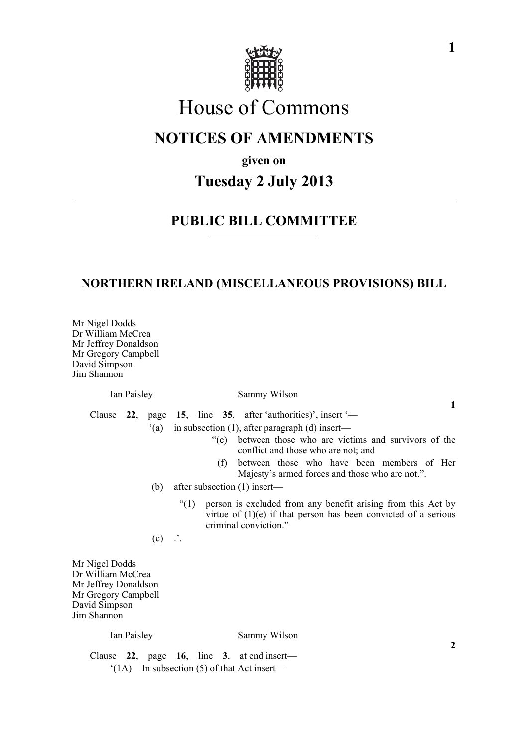

# House of Commons

## **NOTICES OF AMENDMENTS**

**given on**

# **Tuesday 2 July 2013**

## **PUBLIC BILL COMMITTEE**

## **NORTHERN IRELAND (MISCELLANEOUS PROVISIONS) BILL**

Mr Nigel Dodds Dr William McCrea Mr Jeffrey Donaldson Mr Gregory Campbell David Simpson Jim Shannon

### Ian Paisley Sammy Wilson

**1**

**2**

Clause **22**, page **15**, line **35**, after 'authorities)', insert '—

- '(a) in subsection (1), after paragraph (d) insert—
	- "(e) between those who are victims and survivors of the conflict and those who are not; and
	- (f) between those who have been members of Her Majesty's armed forces and those who are not.".
- (b) after subsection (1) insert—
	- "(1) person is excluded from any benefit arising from this Act by virtue of  $(1)(e)$  if that person has been convicted of a serious criminal conviction."

 $(c)$   $\therefore$ 

Mr Nigel Dodds Dr William McCrea Mr Jeffrey Donaldson Mr Gregory Campbell David Simpson Jim Shannon

#### Ian Paisley Sammy Wilson

Clause **22**, page **16**, line **3**, at end insert—  $'(1A)$  In subsection (5) of that Act insert—